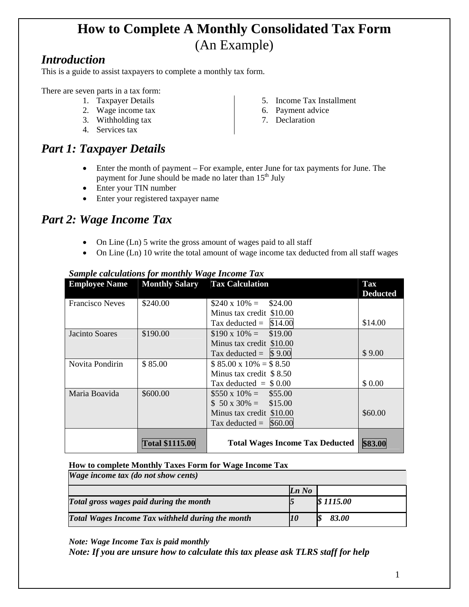# **How to Complete A Monthly Consolidated Tax Form**  (An Example)

### *Introduction*

This is a guide to assist taxpayers to complete a monthly tax form.

There are seven parts in a tax form:

- 1. Taxpayer Details
- 2. Wage income tax
- 3. Withholding tax
- 4. Services tax

# *Part 1: Taxpayer Details*

- Enter the month of payment For example, enter June for tax payments for June. The payment for June should be made no later than  $15<sup>th</sup>$  July
- Enter your TIN number
- Enter your registered taxpayer name

## *Part 2: Wage Income Tax*

- On Line (Ln) 5 write the gross amount of wages paid to all staff
- On Line (Ln) 10 write the total amount of wage income tax deducted from all staff wages

| <b>Employee Name</b>   | <b>Monthly Salary</b>  | <b>Tax Calculation</b>                 | <b>Tax</b><br><b>Deducted</b> |
|------------------------|------------------------|----------------------------------------|-------------------------------|
| <b>Francisco Neves</b> | \$240.00               | $$240 \times 10\% =$<br>\$24.00        |                               |
|                        |                        | Minus tax credit \$10.00               |                               |
|                        |                        | Tax deducted $=$ \$14.00               | \$14.00                       |
| Jacinto Soares         | \$190.00               | $$190 \times 10\% = $19.00$            |                               |
|                        |                        | Minus tax credit \$10.00               |                               |
|                        |                        | Tax deducted = $\vert$ \$9.00          | \$9.00                        |
| Novita Pondirin        | \$85.00                | $$85.00 \times 10\% = $8.50$           |                               |
|                        |                        | Minus tax credit $$8.50$               |                               |
|                        |                        | Tax deducted $=$ \$ 0.00               | \$ 0.00                       |
| Maria Boavida          | \$600.00               | $$550 \times 10\% = $55.00$            |                               |
|                        |                        | $$50 x 30\% = $15.00$                  |                               |
|                        |                        | Minus tax credit \$10.00               | \$60.00                       |
|                        |                        | Tax deducted = $$60.00$                |                               |
|                        | <b>Total \$1115.00</b> | <b>Total Wages Income Tax Deducted</b> | \$83.00                       |

### *Sample calculations for monthly Wage Income Tax*

#### **How to complete Monthly Taxes Form for Wage Income Tax**

*Wage income tax (do not show cents)* 

|                                                  | Ln No |           |
|--------------------------------------------------|-------|-----------|
| Total gross wages paid during the month          |       | \$1115.00 |
| Total Wages Income Tax withheld during the month |       | 83.00     |

*Note: Wage Income Tax is paid monthly* 

*Note: If you are unsure how to calculate this tax please ask TLRS staff for help* 

- 
- 7. Declaration
- 5. Income Tax Installment
- 6. Payment advice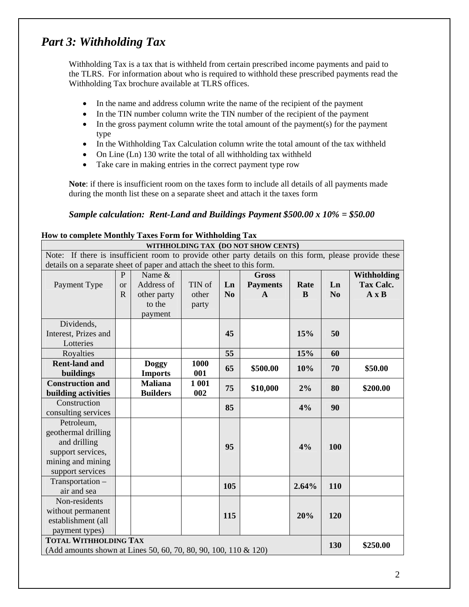### *Part 3: Withholding Tax*

Withholding Tax is a tax that is withheld from certain prescribed income payments and paid to the TLRS. For information about who is required to withhold these prescribed payments read the Withholding Tax brochure available at TLRS offices.

- In the name and address column write the name of the recipient of the payment
- In the TIN number column write the TIN number of the recipient of the payment
- In the gross payment column write the total amount of the payment(s) for the payment type
- In the Withholding Tax Calculation column write the total amount of the tax withheld
- On Line (Ln) 130 write the total of all withholding tax withheld
- Take care in making entries in the correct payment type row

**Note**: if there is insufficient room on the taxes form to include all details of all payments made during the month list these on a separate sheet and attach it the taxes form

#### *Sample calculation: Rent-Land and Buildings Payment \$500.00 x 10% = \$50.00*

#### **How to complete Monthly Taxes Form for Withholding Tax**

|                                                                                                       | TIOW to complete Monthly Taxes Form for Withholding Tax<br>WITHHOLDING TAX (DO NOT SHOW CENTS) |                 |        |                |                 |       |                |                  |
|-------------------------------------------------------------------------------------------------------|------------------------------------------------------------------------------------------------|-----------------|--------|----------------|-----------------|-------|----------------|------------------|
| Note: If there is insufficient room to provide other party details on this form, please provide these |                                                                                                |                 |        |                |                 |       |                |                  |
| details on a separate sheet of paper and attach the sheet to this form.                               |                                                                                                |                 |        |                |                 |       |                |                  |
|                                                                                                       | P                                                                                              | Name &          |        |                | <b>Gross</b>    |       |                | Withholding      |
| Payment Type                                                                                          | <b>or</b>                                                                                      | Address of      | TIN of | Ln             | <b>Payments</b> | Rate  | Ln             | <b>Tax Calc.</b> |
|                                                                                                       | $\mathbf{R}$                                                                                   | other party     | other  | N <sub>0</sub> | $\mathbf{A}$    | B     | N <sub>0</sub> | $A \times B$     |
|                                                                                                       |                                                                                                | to the          | party  |                |                 |       |                |                  |
|                                                                                                       |                                                                                                | payment         |        |                |                 |       |                |                  |
| Dividends,                                                                                            |                                                                                                |                 |        |                |                 |       |                |                  |
| Interest, Prizes and                                                                                  |                                                                                                |                 |        | 45             |                 | 15%   | 50             |                  |
| Lotteries                                                                                             |                                                                                                |                 |        |                |                 |       |                |                  |
| Royalties                                                                                             |                                                                                                |                 |        | 55             |                 | 15%   | 60             |                  |
| <b>Rent-land and</b>                                                                                  |                                                                                                | Doggy           | 1000   | 65             | \$500.00        | 10%   | 70             | \$50.00          |
| buildings                                                                                             |                                                                                                | <b>Imports</b>  | 001    |                |                 |       |                |                  |
| <b>Construction and</b>                                                                               |                                                                                                | <b>Maliana</b>  | 1 001  | 75             | \$10,000        | 2%    | 80             | \$200.00         |
| building activities                                                                                   |                                                                                                | <b>Builders</b> | 002    |                |                 |       |                |                  |
| Construction                                                                                          |                                                                                                |                 |        | 85             |                 | 4%    | 90             |                  |
| consulting services                                                                                   |                                                                                                |                 |        |                |                 |       |                |                  |
| Petroleum,                                                                                            |                                                                                                |                 |        |                |                 |       |                |                  |
| geothermal drilling                                                                                   |                                                                                                |                 |        |                |                 |       |                |                  |
| and drilling                                                                                          |                                                                                                |                 |        | 95             |                 | 4%    | 100            |                  |
| support services,                                                                                     |                                                                                                |                 |        |                |                 |       |                |                  |
| mining and mining                                                                                     |                                                                                                |                 |        |                |                 |       |                |                  |
| support services                                                                                      |                                                                                                |                 |        |                |                 |       |                |                  |
| Transportation -                                                                                      |                                                                                                |                 |        | 105            |                 | 2.64% | 110            |                  |
| air and sea                                                                                           |                                                                                                |                 |        |                |                 |       |                |                  |
| Non-residents                                                                                         |                                                                                                |                 |        |                |                 |       |                |                  |
| without permanent                                                                                     |                                                                                                |                 |        | 115            |                 | 20%   | 120            |                  |
| establishment (all                                                                                    |                                                                                                |                 |        |                |                 |       |                |                  |
| payment types)                                                                                        |                                                                                                |                 |        |                |                 |       |                |                  |
|                                                                                                       | <b>TOTAL WITHHOLDING TAX</b><br>130                                                            |                 |        |                | \$250.00        |       |                |                  |
| (Add amounts shown at Lines 50, 60, 70, 80, 90, 100, 110 & 120)                                       |                                                                                                |                 |        |                |                 |       |                |                  |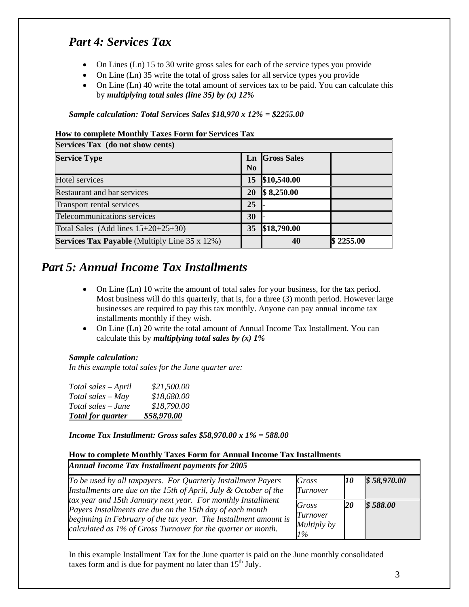### *Part 4: Services Tax*

- On Lines (Ln) 15 to 30 write gross sales for each of the service types you provide
- On Line (Ln) 35 write the total of gross sales for all service types you provide
- On Line (Ln) 40 write the total amount of services tax to be paid. You can calculate this by *multiplying total sales (line 35) by (x) 12%*

*Sample calculation: Total Services Sales \$18,970 x 12% = \$2255.00* 

#### **How to complete Monthly Taxes Form for Services Tax**

| Services Tax (do not show cents)                     |                      |                    |           |  |  |
|------------------------------------------------------|----------------------|--------------------|-----------|--|--|
| <b>Service Type</b>                                  | Ln<br>N <sub>0</sub> | <b>Gross Sales</b> |           |  |  |
| Hotel services                                       | 15                   | \$10,540.00        |           |  |  |
| <b>Restaurant and bar services</b>                   | 20                   | \$8,250.00         |           |  |  |
| Transport rental services                            | 25                   |                    |           |  |  |
| Telecommunications services                          | 30                   |                    |           |  |  |
| Total Sales (Add lines $15+20+25+30$ )               | 35                   | \$18,790.00        |           |  |  |
| <b>Services Tax Payable</b> (Multiply Line 35 x 12%) |                      | 40                 | \$2255.00 |  |  |

### *Part 5: Annual Income Tax Installments*

- On Line (Ln) 10 write the amount of total sales for your business, for the tax period. Most business will do this quarterly, that is, for a three (3) month period. However large businesses are required to pay this tax monthly. Anyone can pay annual income tax installments monthly if they wish.
- On Line (Ln) 20 write the total amount of Annual Income Tax Installment. You can calculate this by *multiplying total sales by (x) 1%*

#### *Sample calculation:*

*In this example total sales for the June quarter are:* 

| Total sales – June<br><b>Total for quarter</b> | \$18,790.00<br>\$58,970.00 |
|------------------------------------------------|----------------------------|
|                                                |                            |
| $Total sales - May$                            | \$18,680.00                |
| Total sales - April                            | \$21,500.00                |

*Income Tax Installment: Gross sales \$58,970.00 x 1% = 588.00* 

#### **How to complete Monthly Taxes Form for Annual Income Tax Installments**

*Annual Income Tax Installment payments for 2005* 

| To be used by all taxpayers. For Quarterly Installment Payers<br>Installments are due on the 15th of April, July $&$ October of the                                                                                                                           | Gross<br>Turnover                      | 10 | \$58,970.00 |
|---------------------------------------------------------------------------------------------------------------------------------------------------------------------------------------------------------------------------------------------------------------|----------------------------------------|----|-------------|
| tax year and 15th January next year. For monthly Installment<br>Payers Installments are due on the 15th day of each month<br>beginning in February of the tax year. The Installment amount is<br>calculated as 1% of Gross Turnover for the quarter or month. | Gross<br>Turnover<br>Multiply by<br>1% | 20 | \$588.00    |

In this example Installment Tax for the June quarter is paid on the June monthly consolidated taxes form and is due for payment no later than  $15<sup>th</sup>$  July.